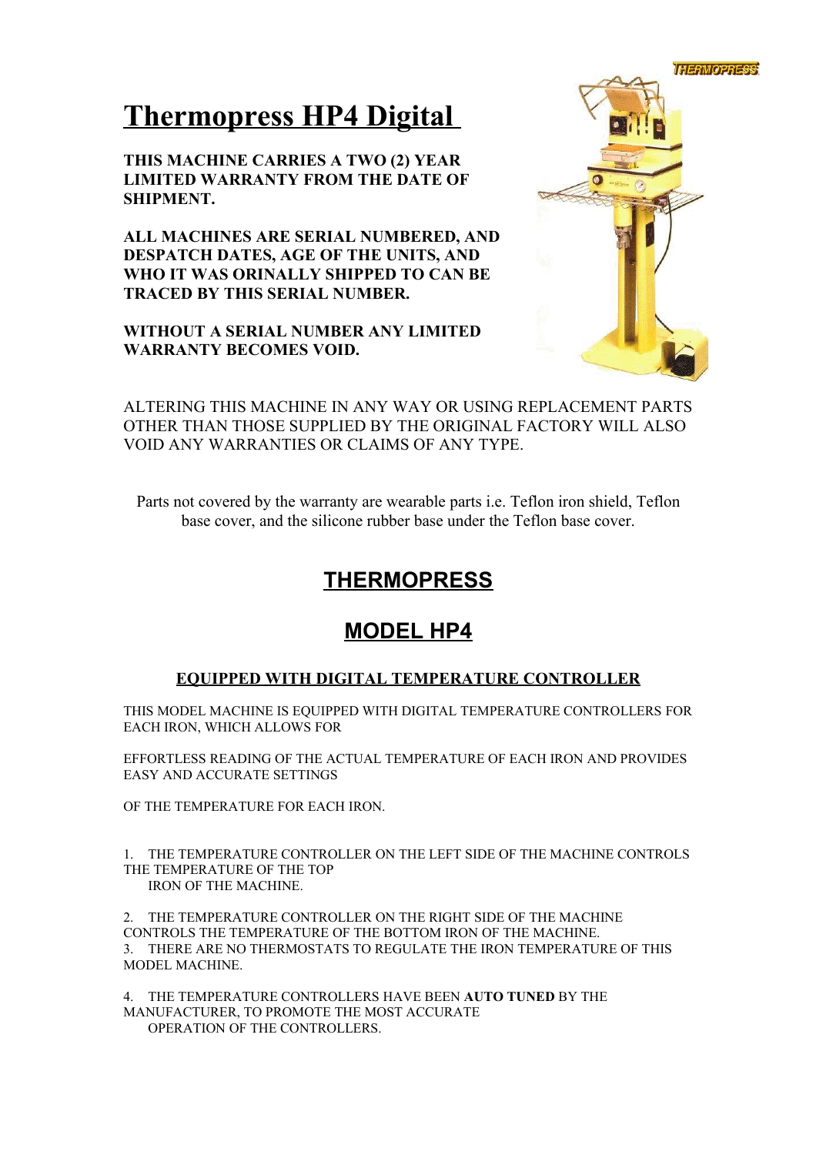

# **Thermopress HP4 Digital**

**THIS MACHINE CARRIES A TWO (2) YEAR LIMITED WARRANTY FROM THE DATE OF SHIPMENT.**

**ALL MACHINES ARE SERIAL NUMBERED, AND DESPATCH DATES, AGE OF THE UNITS, AND WHO IT WAS ORINALLY SHIPPED TO CAN BE TRACED BY THIS SERIAL NUMBER.**

**WITHOUT A SERIAL NUMBER ANY LIMITED WARRANTY BECOMES VOID.**



ALTERING THIS MACHINE IN ANY WAY OR USING REPLACEMENT PARTS OTHER THAN THOSE SUPPLIED BY THE ORIGINAL FACTORY WILL ALSO VOID ANY WARRANTIES OR CLAIMS OF ANY TYPE.

Parts not covered by the warranty are wearable parts i.e. Teflon iron shield, Teflon base cover, and the silicone rubber base under the Teflon base cover.

# **THERMOPRESS**

# **MODEL HP4**

## **EQUIPPED WITH DIGITAL TEMPERATURE CONTROLLER**

THIS MODEL MACHINE IS EQUIPPED WITH DIGITAL TEMPERATURE CONTROLLERS FOR EACH IRON, WHICH ALLOWS FOR

EFFORTLESS READING OF THE ACTUAL TEMPERATURE OF EACH IRON AND PROVIDES EASY AND ACCURATE SETTINGS

OF THE TEMPERATURE FOR EACH IRON.

1. THE TEMPERATURE CONTROLLER ON THE LEFT SIDE OF THE MACHINE CONTROLS THE TEMPERATURE OF THE TOP IRON OF THE MACHINE.

2. THE TEMPERATURE CONTROLLER ON THE RIGHT SIDE OF THE MACHINE CONTROLS THE TEMPERATURE OF THE BOTTOM IRON OF THE MACHINE. 3. THERE ARE NO THERMOSTATS TO REGULATE THE IRON TEMPERATURE OF THIS MODEL MACHINE.

4. THE TEMPERATURE CONTROLLERS HAVE BEEN **AUTO TUNED** BY THE MANUFACTURER, TO PROMOTE THE MOST ACCURATE OPERATION OF THE CONTROLLERS.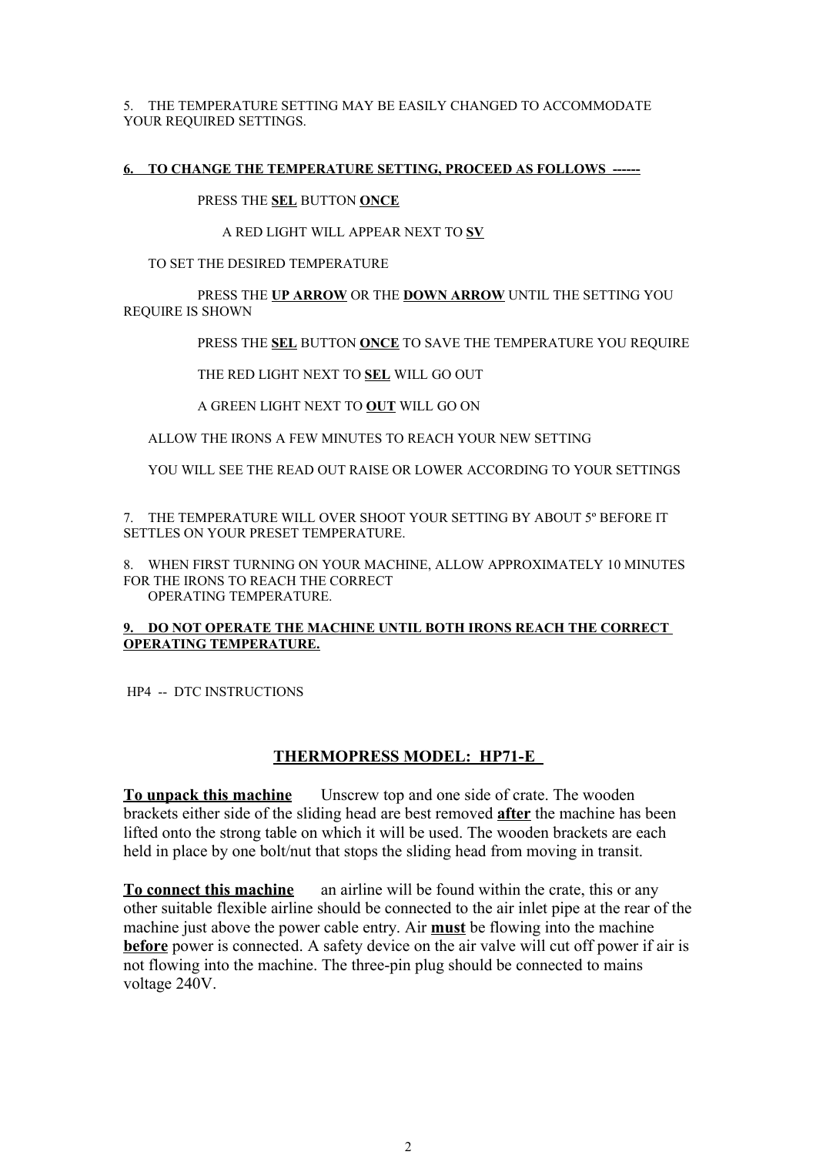5. THE TEMPERATURE SETTING MAY BE EASILY CHANGED TO ACCOMMODATE YOUR REQUIRED SETTINGS.

#### **6. TO CHANGE THE TEMPERATURE SETTING, PROCEED AS FOLLOWS ------**

PRESS THE **SEL** BUTTON **ONCE**

#### A RED LIGHT WILL APPEAR NEXT TO **SV**

TO SET THE DESIRED TEMPERATURE

PRESS THE **UP ARROW** OR THE **DOWN ARROW** UNTIL THE SETTING YOU REQUIRE IS SHOWN

PRESS THE **SEL** BUTTON **ONCE** TO SAVE THE TEMPERATURE YOU REQUIRE

THE RED LIGHT NEXT TO **SEL** WILL GO OUT

A GREEN LIGHT NEXT TO **OUT** WILL GO ON

ALLOW THE IRONS A FEW MINUTES TO REACH YOUR NEW SETTING

YOU WILL SEE THE READ OUT RAISE OR LOWER ACCORDING TO YOUR SETTINGS

7. THE TEMPERATURE WILL OVER SHOOT YOUR SETTING BY ABOUT 5º BEFORE IT SETTLES ON YOUR PRESET TEMPERATURE.

8. WHEN FIRST TURNING ON YOUR MACHINE, ALLOW APPROXIMATELY 10 MINUTES FOR THE IRONS TO REACH THE CORRECT OPERATING TEMPERATURE.

#### **9. DO NOT OPERATE THE MACHINE UNTIL BOTH IRONS REACH THE CORRECT OPERATING TEMPERATURE.**

HP4 -- DTC INSTRUCTIONS

#### **THERMOPRESS MODEL: HP71-E**

**To unpack this machine** Unscrew top and one side of crate. The wooden brackets either side of the sliding head are best removed **after** the machine has been lifted onto the strong table on which it will be used. The wooden brackets are each held in place by one bolt/nut that stops the sliding head from moving in transit.

**To connect this machine** an airline will be found within the crate, this or any other suitable flexible airline should be connected to the air inlet pipe at the rear of the machine just above the power cable entry. Air **must** be flowing into the machine **before** power is connected. A safety device on the air valve will cut off power if air is not flowing into the machine. The three-pin plug should be connected to mains voltage 240V.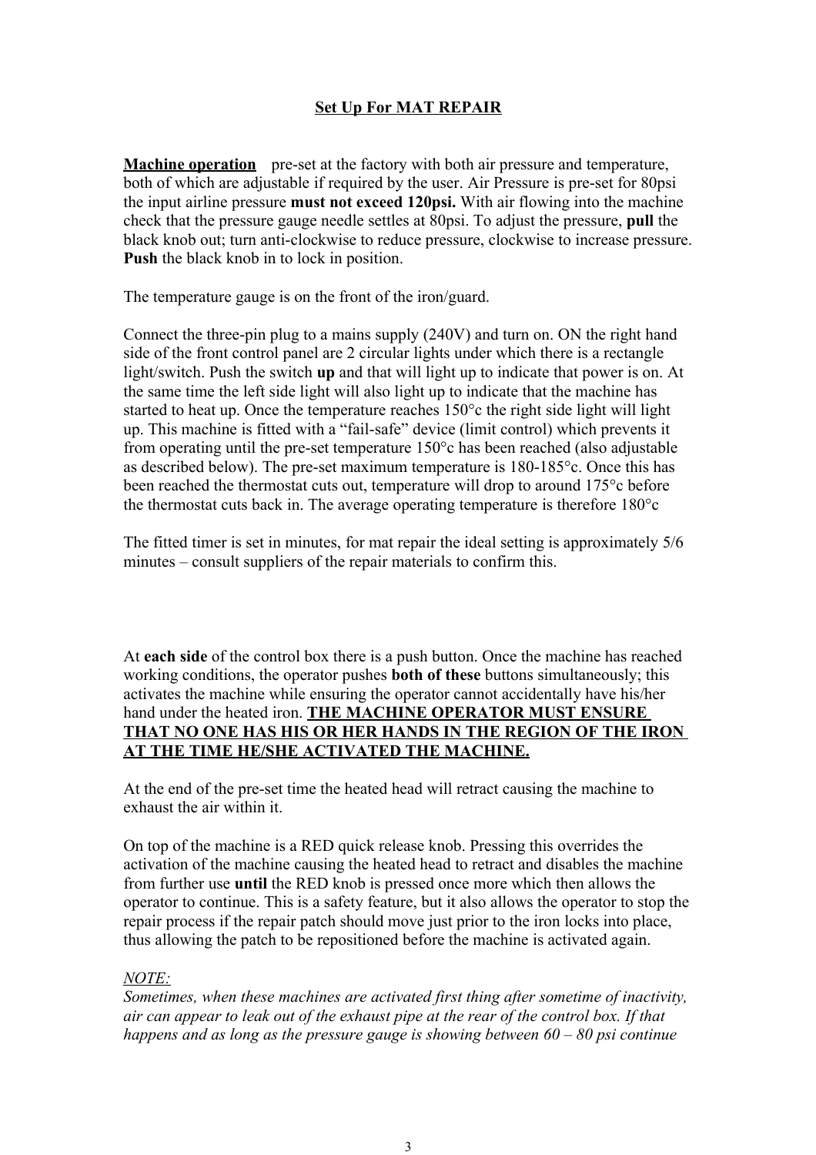### **Set Up For MAT REPAIR**

**Machine operation** pre-set at the factory with both air pressure and temperature, both of which are adjustable if required by the user. Air Pressure is pre-set for 80psi the input airline pressure **must not exceed 120psi.** With air flowing into the machine check that the pressure gauge needle settles at 80psi. To adjust the pressure, **pull** the black knob out; turn anti-clockwise to reduce pressure, clockwise to increase pressure. **Push** the black knob in to lock in position.

The temperature gauge is on the front of the iron/guard.

Connect the three-pin plug to a mains supply (240V) and turn on. ON the right hand side of the front control panel are 2 circular lights under which there is a rectangle light/switch. Push the switch **up** and that will light up to indicate that power is on. At the same time the left side light will also light up to indicate that the machine has started to heat up. Once the temperature reaches 150°c the right side light will light up. This machine is fitted with a "fail-safe" device (limit control) which prevents it from operating until the pre-set temperature 150°c has been reached (also adjustable as described below). The pre-set maximum temperature is 180-185°c. Once this has been reached the thermostat cuts out, temperature will drop to around 175°c before the thermostat cuts back in. The average operating temperature is therefore 180°c

The fitted timer is set in minutes, for mat repair the ideal setting is approximately 5/6 minutes – consult suppliers of the repair materials to confirm this.

At **each side** of the control box there is a push button. Once the machine has reached working conditions, the operator pushes **both of these** buttons simultaneously; this activates the machine while ensuring the operator cannot accidentally have his/her hand under the heated iron. **THE MACHINE OPERATOR MUST ENSURE THAT NO ONE HAS HIS OR HER HANDS IN THE REGION OF THE IRON AT THE TIME HE/SHE ACTIVATED THE MACHINE.**

At the end of the pre-set time the heated head will retract causing the machine to exhaust the air within it.

On top of the machine is a RED quick release knob. Pressing this overrides the activation of the machine causing the heated head to retract and disables the machine from further use **until** the RED knob is pressed once more which then allows the operator to continue. This is a safety feature, but it also allows the operator to stop the repair process if the repair patch should move just prior to the iron locks into place, thus allowing the patch to be repositioned before the machine is activated again.

#### *NOTE:*

*Sometimes, when these machines are activated first thing after sometime of inactivity, air can appear to leak out of the exhaust pipe at the rear of the control box. If that happens and as long as the pressure gauge is showing between 60 – 80 psi continue*